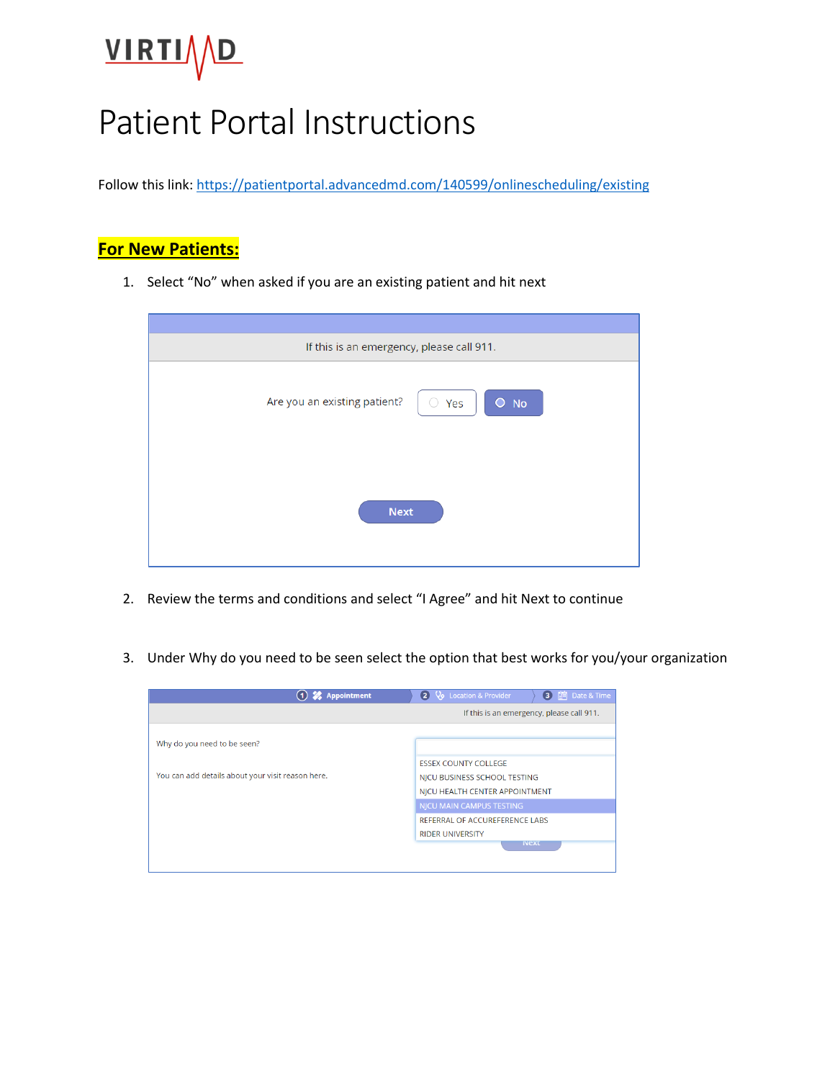# VIRTIVD

## Patient Portal Instructions

Follow this link:<https://patientportal.advancedmd.com/140599/onlinescheduling/existing>

#### **For New Patients:**

1. Select "No" when asked if you are an existing patient and hit next

| If this is an emergency, please call 911.           |  |  |  |  |
|-----------------------------------------------------|--|--|--|--|
| Are you an existing patient?<br>$\bullet$ No<br>Yes |  |  |  |  |
| <b>Next</b>                                         |  |  |  |  |

- 2. Review the terms and conditions and select "I Agree" and hit Next to continue
- 3. Under Why do you need to be seen select the option that best works for you/your organization

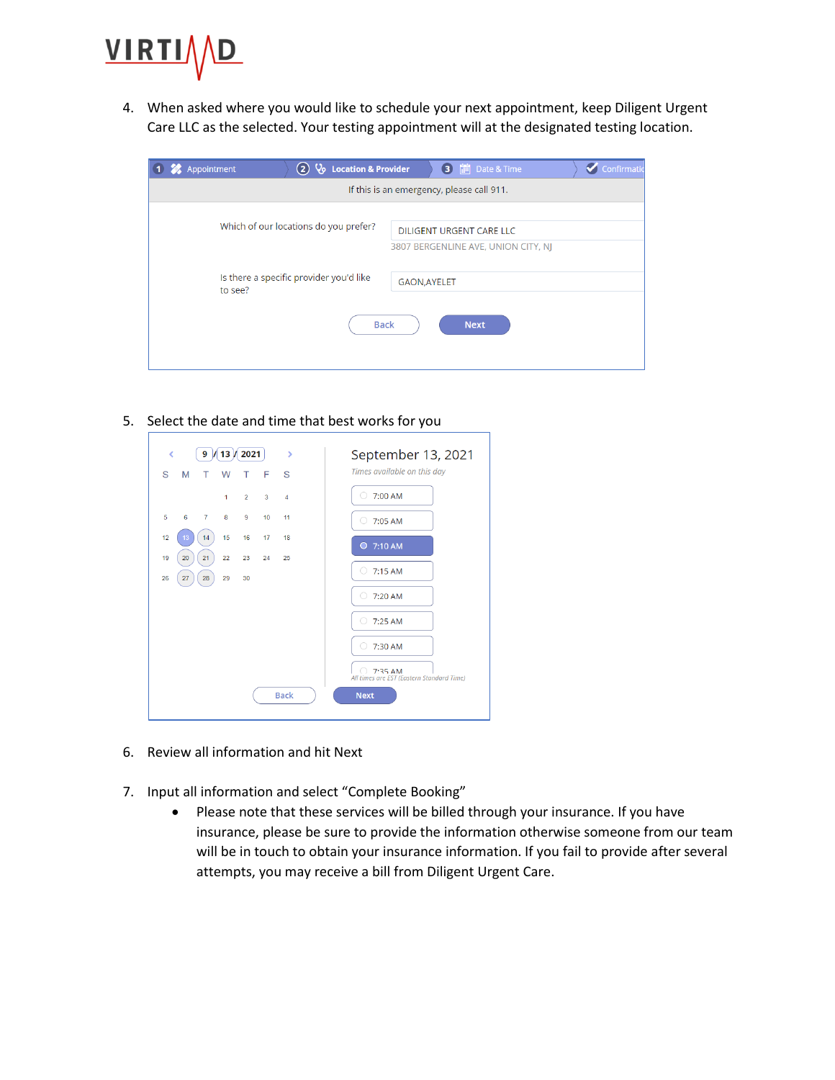

4. When asked where you would like to schedule your next appointment, keep Diligent Urgent Care LLC as the selected. Your testing appointment will at the designated testing location.

| Appointment                                                              | $(2)$ $\sqrt{6}$ Location & Provider    |                     | till Date & Time<br>€               | Confirmatio |  |
|--------------------------------------------------------------------------|-----------------------------------------|---------------------|-------------------------------------|-------------|--|
| If this is an emergency, please call 911.                                |                                         |                     |                                     |             |  |
| Which of our locations do you prefer?<br><b>DILIGENT URGENT CARE LLC</b> |                                         |                     |                                     |             |  |
|                                                                          |                                         |                     | 3807 BERGENLINE AVE, UNION CITY, NJ |             |  |
| to see?                                                                  | Is there a specific provider you'd like | <b>GAON, AYELET</b> |                                     |             |  |
|                                                                          | <b>Back</b>                             |                     | <b>Next</b>                         |             |  |

5. Select the date and time that best works for you

| $9$ / 13 / 2021<br>k<br>×                      | September 13, 2021                                  |  |
|------------------------------------------------|-----------------------------------------------------|--|
| S<br>M<br>F<br>S<br>т<br>W<br>т                | Times available on this day                         |  |
| $\overline{2}$<br>3<br>1<br>4                  | 7:00 AM<br>. .                                      |  |
| 5<br>6<br>$\overline{7}$<br>8<br>9<br>10<br>11 | 7:05 AM<br>$\bigcirc$                               |  |
| 12<br>15<br>16<br>14<br>17<br>18<br>13         | $O$ 7:10 AM                                         |  |
| 21<br>22<br>19<br>20<br>23<br>24<br>25         | 7:15 AM<br>( )                                      |  |
| 26<br>27<br>28<br>29<br>30                     |                                                     |  |
|                                                | 7:20 AM<br>○                                        |  |
|                                                | 7:25 AM<br>∩                                        |  |
|                                                | 7:30 AM<br>. .                                      |  |
|                                                | 7:35AM<br>All times are EST (Eastern Standard Time) |  |
| <b>Back</b>                                    | <b>Next</b>                                         |  |
|                                                |                                                     |  |

- 6. Review all information and hit Next
- 7. Input all information and select "Complete Booking"
	- Please note that these services will be billed through your insurance. If you have insurance, please be sure to provide the information otherwise someone from our team will be in touch to obtain your insurance information. If you fail to provide after several attempts, you may receive a bill from Diligent Urgent Care.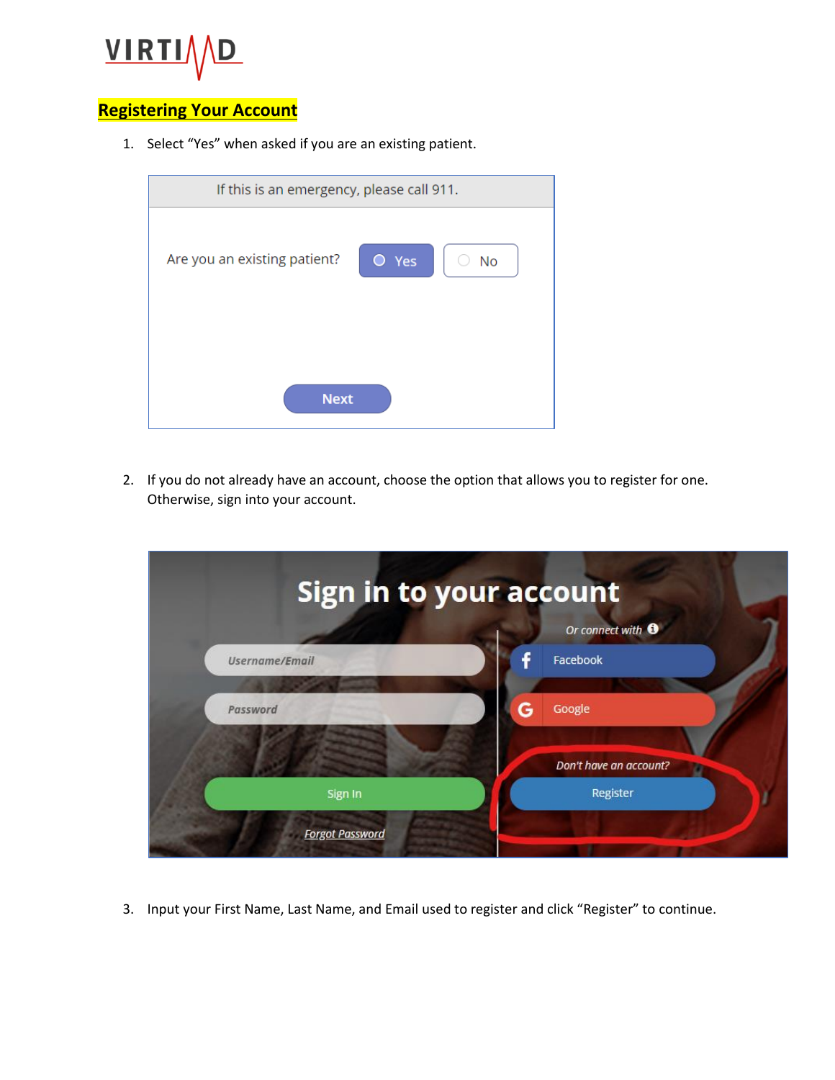

#### **Registering Your Account**

1. Select "Yes" when asked if you are an existing patient.

| If this is an emergency, please call 911.              |  |  |  |  |
|--------------------------------------------------------|--|--|--|--|
| Are you an existing patient?<br>$\bullet$<br>Yes<br>No |  |  |  |  |
| <b>Next</b>                                            |  |  |  |  |
|                                                        |  |  |  |  |

2. If you do not already have an account, choose the option that allows you to register for one. Otherwise, sign into your account.



3. Input your First Name, Last Name, and Email used to register and click "Register" to continue.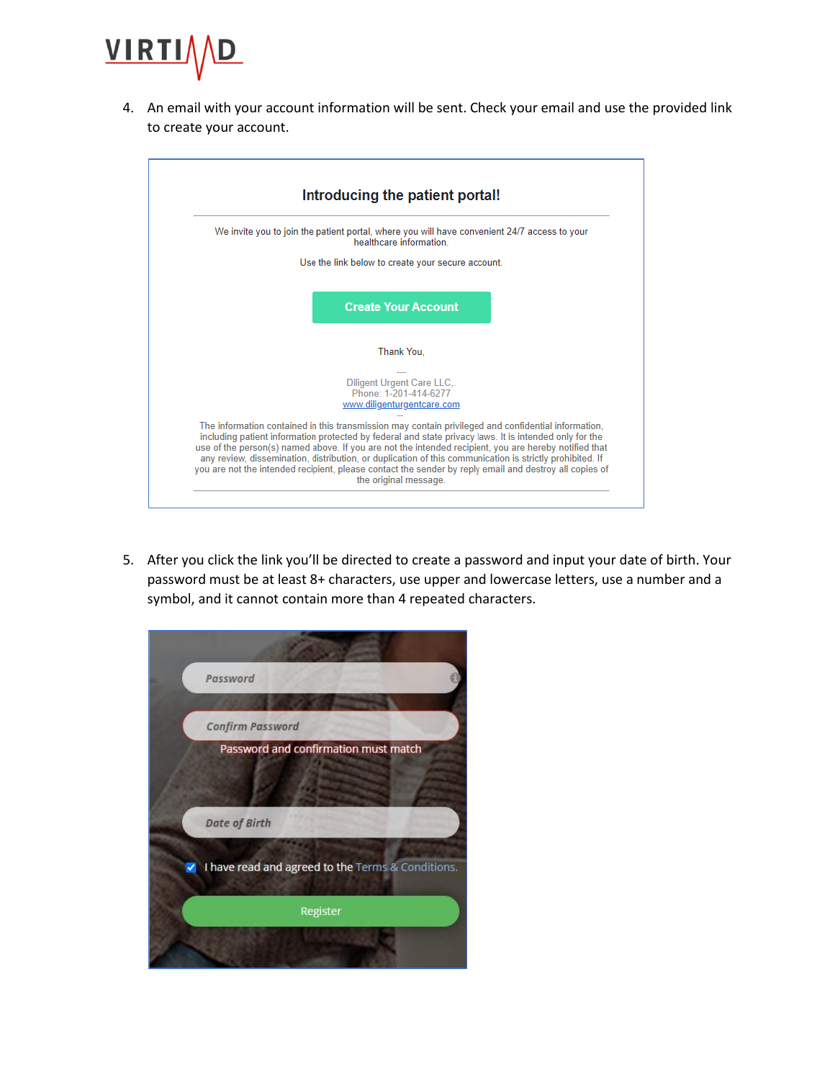

4. An email with your account information will be sent. Check your email and use the provided link to create your account.

| Introducing the patient portal!                                                                                                                                                                                                                                                                                                                                                                                                                                                                                                                                       |  |
|-----------------------------------------------------------------------------------------------------------------------------------------------------------------------------------------------------------------------------------------------------------------------------------------------------------------------------------------------------------------------------------------------------------------------------------------------------------------------------------------------------------------------------------------------------------------------|--|
| We invite you to join the patient portal, where you will have convenient 24/7 access to your<br>healthcare information                                                                                                                                                                                                                                                                                                                                                                                                                                                |  |
| Use the link below to create your secure account.                                                                                                                                                                                                                                                                                                                                                                                                                                                                                                                     |  |
| <b>Create Your Account</b>                                                                                                                                                                                                                                                                                                                                                                                                                                                                                                                                            |  |
| Thank You.                                                                                                                                                                                                                                                                                                                                                                                                                                                                                                                                                            |  |
| <b>Diligent Urgent Care LLC</b><br>Phone: 1-201-414-6277<br>www.diligenturgentcare.com                                                                                                                                                                                                                                                                                                                                                                                                                                                                                |  |
| The information contained in this transmission may contain privileged and confidential information,<br>including patient information protected by federal and state privacy laws. It is intended only for the<br>use of the person(s) named above. If you are not the intended recipient, you are hereby notified that<br>any review, dissemination, distribution, or duplication of this communication is strictly prohibited. If<br>you are not the intended recipient, please contact the sender by reply email and destroy all copies of<br>the original message. |  |

5. After you click the link you'll be directed to create a password and input your date of birth. Your password must be at least 8+ characters, use upper and lowercase letters, use a number and a symbol, and it cannot contain more than 4 repeated characters.

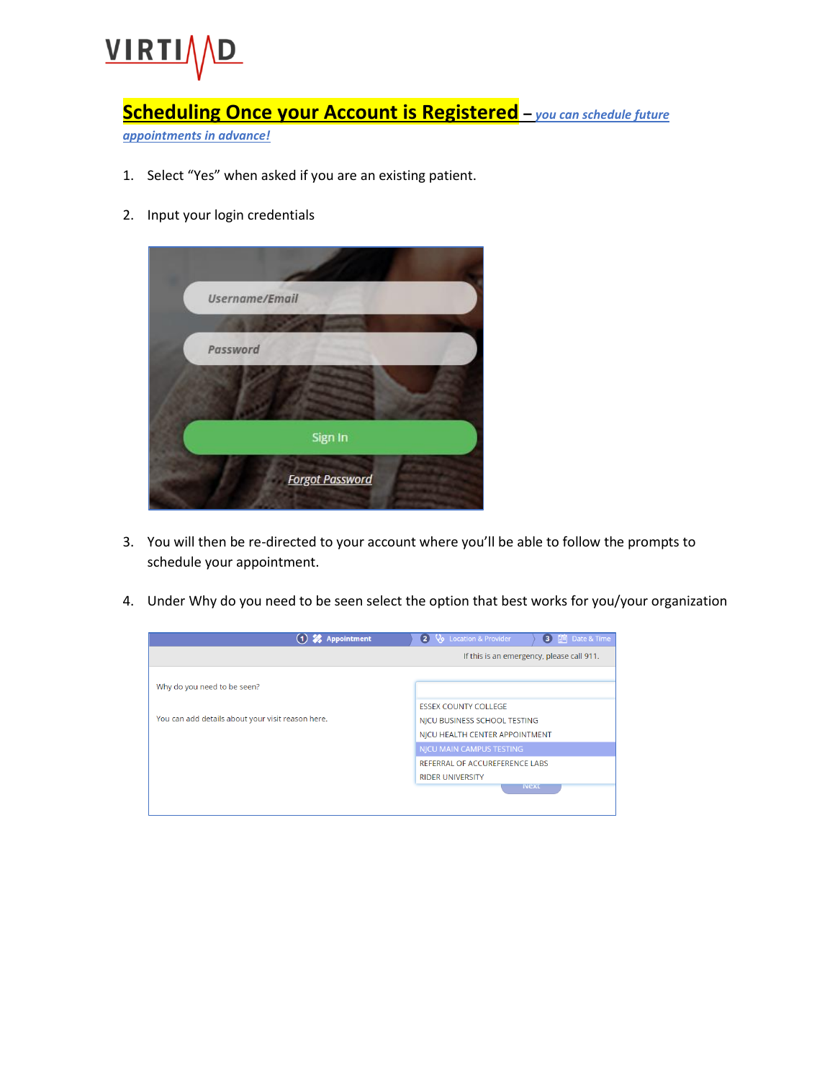

### **Scheduling Once your Account is Registered –** *you can schedule future*

*appointments in advance!*

- 1. Select "Yes" when asked if you are an existing patient.
- 2. Input your login credentials



- 3. You will then be re-directed to your account where you'll be able to follow the prompts to schedule your appointment.
- 4. Under Why do you need to be seen select the option that best works for you/your organization